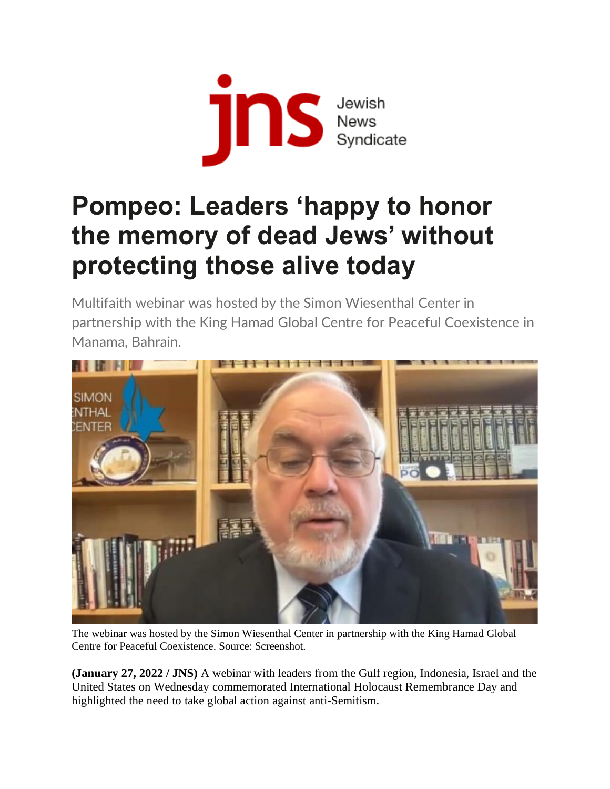

## **Pompeo: Leaders 'happy to honor the memory of dead Jews' without protecting those alive today**

Multifaith webinar was hosted by the Simon Wiesenthal Center in partnership with the King Hamad Global Centre for Peaceful Coexistence in Manama, Bahrain.



The webinar was hosted by the Simon Wiesenthal Center in partnership with the King Hamad Global Centre for Peaceful Coexistence. Source: Screenshot.

**(January 27, 2022 / JNS)** A webinar with leaders from the Gulf region, Indonesia, Israel and the United States on Wednesday commemorated International Holocaust Remembrance Day and highlighted the need to take global action against anti-Semitism.